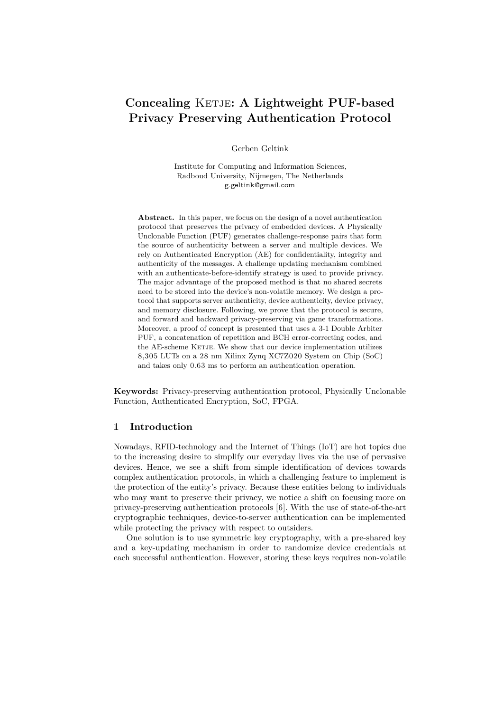# **Concealing KETJE: A Lightweight PUF-based Privacy Preserving Authentication Protocol**

Gerben Geltink

Institute for Computing and Information Sciences, Radboud University, Nijmegen, The Netherlands g.geltink@gmail.com

**Abstract.** In this paper, we focus on the design of a novel authentication protocol that preserves the privacy of embedded devices. A Physically Unclonable Function (PUF) generates challenge-response pairs that form the source of authenticity between a server and multiple devices. We rely on Authenticated Encryption (AE) for confidentiality, integrity and authenticity of the messages. A challenge updating mechanism combined with an authenticate-before-identify strategy is used to provide privacy. The major advantage of the proposed method is that no shared secrets need to be stored into the device's non-volatile memory. We design a protocol that supports server authenticity, device authenticity, device privacy, and memory disclosure. Following, we prove that the protocol is secure, and forward and backward privacy-preserving via game transformations. Moreover, a proof of concept is presented that uses a 3-1 Double Arbiter PUF, a concatenation of repetition and BCH error-correcting codes, and the AE-scheme KETJE. We show that our device implementation utilizes 8,305 LUTs on a 28 nm Xilinx Zynq XC7Z020 System on Chip (SoC) and takes only 0.63 ms to perform an authentication operation.

**Keywords:** Privacy-preserving authentication protocol, Physically Unclonable Function, Authenticated Encryption, SoC, FPGA.

# **1 Introduction**

Nowadays, RFID-technology and the Internet of Things (IoT) are hot topics due to the increasing desire to simplify our everyday lives via the use of pervasive devices. Hence, we see a shift from simple identification of devices towards complex authentication protocols, in which a challenging feature to implement is the protection of the entity's privacy. Because these entities belong to individuals who may want to preserve their privacy, we notice a shift on focusing more on privacy-preserving authentication protocols [\[6\]](#page-20-0). With the use of state-of-the-art cryptographic techniques, device-to-server authentication can be implemented while protecting the privacy with respect to outsiders.

One solution is to use symmetric key cryptography, with a pre-shared key and a key-updating mechanism in order to randomize device credentials at each successful authentication. However, storing these keys requires non-volatile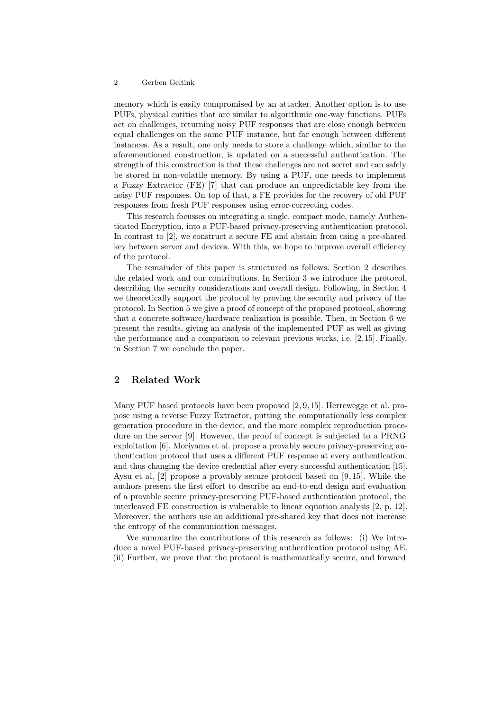memory which is easily compromised by an attacker. Another option is to use PUFs, physical entities that are similar to algorithmic one-way functions. PUFs act on challenges, returning noisy PUF responses that are close enough between equal challenges on the same PUF instance, but far enough between different instances. As a result, one only needs to store a challenge which, similar to the aforementioned construction, is updated on a successful authentication. The strength of this construction is that these challenges are not secret and can safely be stored in non-volatile memory. By using a PUF, one needs to implement a Fuzzy Extractor (FE) [\[7\]](#page-20-1) that can produce an unpredictable key from the noisy PUF responses. On top of that, a FE provides for the recovery of old PUF responses from fresh PUF responses using error-correcting codes.

This research focusses on integrating a single, compact mode, namely Authenticated Encryption, into a PUF-based privacy-preserving authentication protocol. In contrast to [\[2\]](#page-19-0), we construct a secure FE and abstain from using a pre-shared key between server and devices. With this, we hope to improve overall efficiency of the protocol.

The remainder of this paper is structured as follows. Section [2](#page-1-0) describes the related work and our contributions. In Section [3](#page-2-0) we introduce the protocol, describing the security considerations and overall design. Following, in Section [4](#page-5-0) we theoretically support the protocol by proving the security and privacy of the protocol. In Section [5](#page-12-0) we give a proof of concept of the proposed protocol, showing that a concrete software/hardware realization is possible. Then, in Section [6](#page-16-0) we present the results, giving an analysis of the implemented PUF as well as giving the performance and a comparison to relevant previous works, i.e. [\[2,](#page-19-0) [15\]](#page-20-2). Finally, in Section [7](#page-19-1) we conclude the paper.

# <span id="page-1-0"></span>**2 Related Work**

Many PUF based protocols have been proposed [\[2,](#page-19-0)[9,](#page-20-3) [15\]](#page-20-2). Herrewegge et al. propose using a reverse Fuzzy Extractor, putting the computationally less complex generation procedure in the device, and the more complex reproduction procedure on the server [\[9\]](#page-20-3). However, the proof of concept is subjected to a PRNG exploitation [\[6\]](#page-20-0). Moriyama et al. propose a provably secure privacy-preserving authentication protocol that uses a different PUF response at every authentication, and thus changing the device credential after every successful authentication [\[15\]](#page-20-2). Aysu et al. [\[2\]](#page-19-0) propose a provably secure protocol based on [\[9,](#page-20-3) [15\]](#page-20-2). While the authors present the first effort to describe an end-to-end design and evaluation of a provable secure privacy-preserving PUF-based authentication protocol, the interleaved FE construction is vulnerable to linear equation analysis [\[2,](#page-19-0) p. 12]. Moreover, the authors use an additional pre-shared key that does not increase the entropy of the communication messages.

We summarize the contributions of this research as follows: (i) We introduce a novel PUF-based privacy-preserving authentication protocol using AE. (ii) Further, we prove that the protocol is mathematically secure, and forward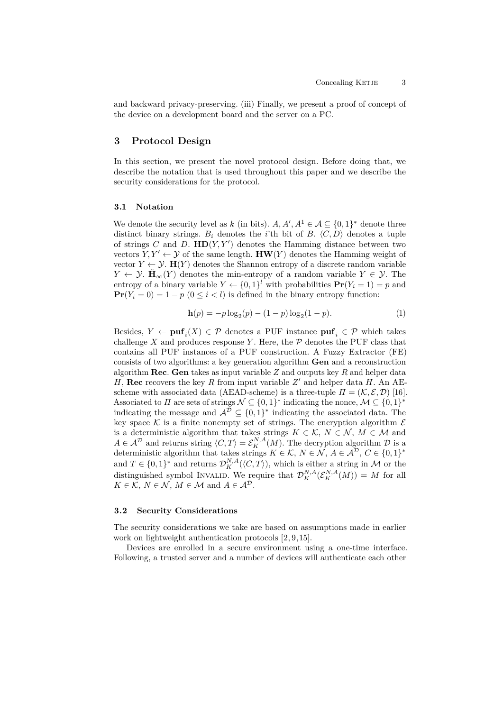and backward privacy-preserving. (iii) Finally, we present a proof of concept of the device on a development board and the server on a PC.

# <span id="page-2-0"></span>**3 Protocol Design**

In this section, we present the novel protocol design. Before doing that, we describe the notation that is used throughout this paper and we describe the security considerations for the protocol.

## **3.1 Notation**

We denote the security level as *k* (in bits).  $A, A', A^1 \in \mathcal{A} \subseteq \{0,1\}^*$  denote three distinct binary strings.  $B_i$  denotes the *i*'th bit of *B*.  $\langle C, D \rangle$  denotes a tuple of strings  $C$  and  $D$ .  $HD(Y, Y')$  denotes the Hamming distance between two vectors  $Y, Y' \leftarrow Y$  of the same length.  $HW(Y)$  denotes the Hamming weight of vector  $Y \leftarrow Y$ . **H**(*Y*) denotes the Shannon entropy of a discrete random variable  $Y \leftarrow \mathcal{Y}$ .  $\tilde{\mathbf{H}}_{\infty}(Y)$  denotes the min-entropy of a random variable  $Y \in \mathcal{Y}$ . The entropy of a binary variable  $Y \leftarrow \{0, 1\}^l$  with probabilities  $\mathbf{Pr}(Y_i = 1) = p$  and **Pr**( $Y_i = 0$ ) = 1 − *p* ( $0 \le i < l$ ) is defined in the binary entropy function:

<span id="page-2-1"></span>
$$
\mathbf{h}(p) = -p \log_2(p) - (1-p) \log_2(1-p). \tag{1}
$$

Besides,  $Y \leftarrow \text{put}_i(X) \in \mathcal{P}$  denotes a PUF instance  $\text{put}_i \in \mathcal{P}$  which takes challenge  $X$  and produces response  $Y$ . Here, the  $\mathcal P$  denotes the PUF class that contains all PUF instances of a PUF construction. A Fuzzy Extractor (FE) consists of two algorithms: a key generation algorithm **Gen** and a reconstruction algorithm **Rec**. **Gen** takes as input variable *Z* and outputs key *R* and helper data  $H$ , **Rec** recovers the key  $R$  from input variable  $Z'$  and helper data  $H$ . An AEscheme with associated data (AEAD-scheme) is a three-tuple  $\Pi = (\mathcal{K}, \mathcal{E}, \mathcal{D})$  [\[16\]](#page-20-4). Associated to *Π* are sets of strings  $N \subseteq \{0,1\}^*$  indicating the nonce,  $M \subseteq \{0,1\}^*$ indicating the message and  $\mathcal{A}^{\mathcal{D}} \subseteq \{0,1\}^*$  indicating the associated data. The key space K is a finite nonempty set of strings. The encryption algorithm  $\mathcal E$ is a deterministic algorithm that takes strings  $K \in \mathcal{K}$ ,  $N \in \mathcal{N}$ ,  $M \in \mathcal{M}$  and  $A \in \mathcal{A}^{\mathcal{D}}$  and returns string  $\langle C, T \rangle = \mathcal{E}_K^{N,A}(M)$ . The decryption algorithm  $\mathcal D$  is a deterministic algorithm that takes strings  $K \in \mathcal{K}$ ,  $N \in \mathcal{N}$ ,  $A \in \mathcal{A}^{\mathcal{D}}$ ,  $C \in \{0,1\}^*$ and  $T \in \{0,1\}^*$  and returns  $\mathcal{D}_K^{N,A}(\langle C,T \rangle)$ , which is either a string in M or the distinguished symbol INVALID. We require that  $\mathcal{D}_{K}^{N,A}(\mathcal{E}_{K}^{N,A}(M)) = M$  for all  $K \in \mathcal{K}, N \in \mathcal{N}, M \in \mathcal{M}$  and  $A \in \mathcal{A}^{\mathcal{D}}$ .

#### **3.2 Security Considerations**

The security considerations we take are based on assumptions made in earlier work on lightweight authentication protocols [\[2,](#page-19-0)[9,](#page-20-3) [15\]](#page-20-2).

Devices are enrolled in a secure environment using a one-time interface. Following, a trusted server and a number of devices will authenticate each other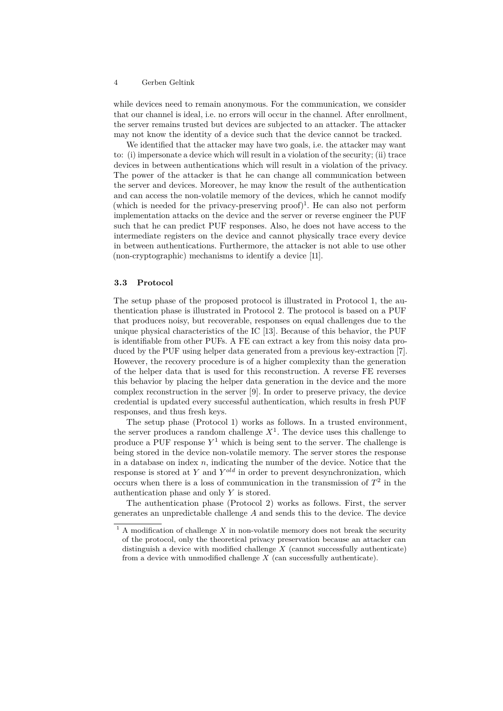while devices need to remain anonymous. For the communication, we consider that our channel is ideal, i.e. no errors will occur in the channel. After enrollment, the server remains trusted but devices are subjected to an attacker. The attacker may not know the identity of a device such that the device cannot be tracked.

We identified that the attacker may have two goals, i.e. the attacker may want to: (i) impersonate a device which will result in a violation of the security; (ii) trace devices in between authentications which will result in a violation of the privacy. The power of the attacker is that he can change all communication between the server and devices. Moreover, he may know the result of the authentication and can access the non-volatile memory of the devices, which he cannot modify (which is needed for the privacy-preserving proof)<sup>[1](#page-3-0)</sup>. He can also not perform implementation attacks on the device and the server or reverse engineer the PUF such that he can predict PUF responses. Also, he does not have access to the intermediate registers on the device and cannot physically trace every device in between authentications. Furthermore, the attacker is not able to use other (non-cryptographic) mechanisms to identify a device [\[11\]](#page-20-5).

## **3.3 Protocol**

The setup phase of the proposed protocol is illustrated in Protocol [1,](#page-4-0) the authentication phase is illustrated in Protocol [2.](#page-4-1) The protocol is based on a PUF that produces noisy, but recoverable, responses on equal challenges due to the unique physical characteristics of the IC [\[13\]](#page-20-6). Because of this behavior, the PUF is identifiable from other PUFs. A FE can extract a key from this noisy data produced by the PUF using helper data generated from a previous key-extraction [\[7\]](#page-20-1). However, the recovery procedure is of a higher complexity than the generation of the helper data that is used for this reconstruction. A reverse FE reverses this behavior by placing the helper data generation in the device and the more complex reconstruction in the server [\[9\]](#page-20-3). In order to preserve privacy, the device credential is updated every successful authentication, which results in fresh PUF responses, and thus fresh keys.

The setup phase (Protocol [1\)](#page-4-0) works as follows. In a trusted environment, the server produces a random challenge  $X<sup>1</sup>$ . The device uses this challenge to produce a PUF response  $Y^1$  which is being sent to the server. The challenge is being stored in the device non-volatile memory. The server stores the response in a database on index *n*, indicating the number of the device. Notice that the response is stored at *Y* and  $Y^{old}$  in order to prevent desynchronization, which occurs when there is a loss of communication in the transmission of  $T^2$  in the authentication phase and only *Y* is stored.

The authentication phase (Protocol [2\)](#page-4-1) works as follows. First, the server generates an unpredictable challenge *A* and sends this to the device. The device

<span id="page-3-0"></span><sup>1</sup> A modification of challenge *X* in non-volatile memory does not break the security of the protocol, only the theoretical privacy preservation because an attacker can distinguish a device with modified challenge *X* (cannot successfully authenticate) from a device with unmodified challenge *X* (can successfully authenticate).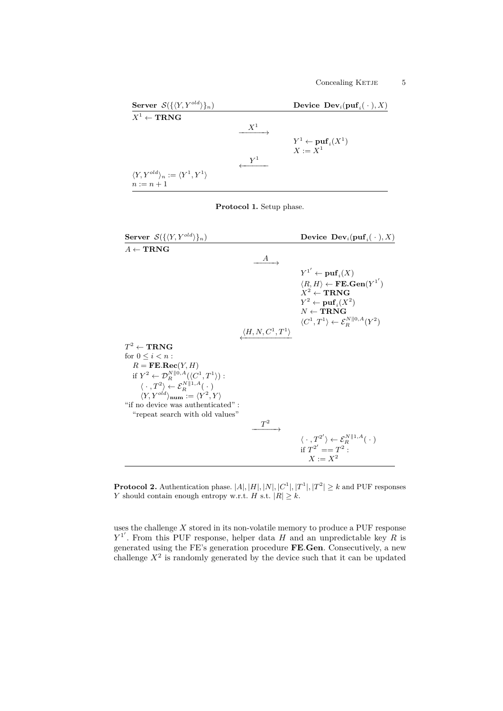| <b>Server</b> $S({\{\langle Y, Y^{old}\rangle\}}_n)$       |       | Device $\text{Dev}_i(\text{pur}_i(\cdot), X)$    |
|------------------------------------------------------------|-------|--------------------------------------------------|
| $X^1 \leftarrow \textbf{TRNG}$                             |       |                                                  |
|                                                            | $X^1$ |                                                  |
|                                                            |       | $Y^1 \leftarrow \text{put}_i(X^1)$<br>$X := X^1$ |
|                                                            | $Y^1$ |                                                  |
|                                                            |       |                                                  |
| $\langle Y, Y^{old} \rangle_n := \langle Y^1, Y^1 \rangle$ |       |                                                  |
| $n := n + 1$                                               |       |                                                  |

<span id="page-4-0"></span>



<span id="page-4-1"></span>**Protocol 2.** Authentication phase.  $|A|, |H|, |N|, |C^1|, |T^1|, |T^2| \geq k$  and PUF responses *Y* should contain enough entropy w.r.t. *H* s.t.  $|R| \geq k$ .

uses the challenge *X* stored in its non-volatile memory to produce a PUF response  $Y^1'$ . From this PUF response, helper data *H* and an unpredictable key *R* is generated using the FE's generation procedure **FE***.***Gen**. Consecutively, a new challenge  $X^2$  is randomly generated by the device such that it can be updated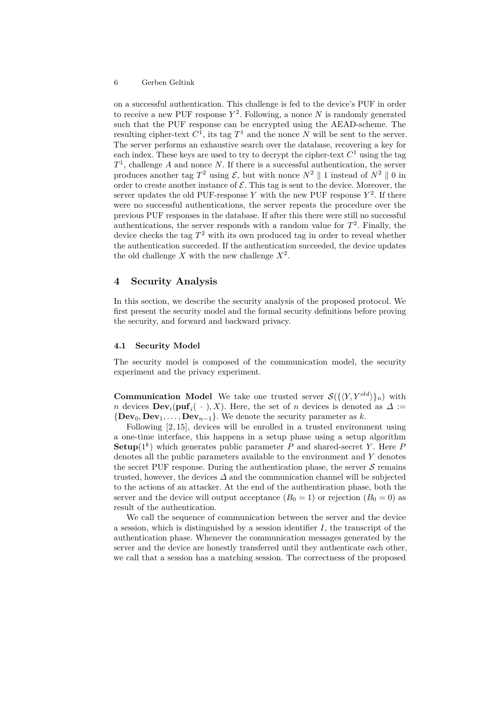on a successful authentication. This challenge is fed to the device's PUF in order to receive a new PUF response *Y* 2 . Following, a nonce *N* is randomly generated such that the PUF response can be encrypted using the AEAD-scheme. The resulting cipher-text  $C^1$ , its tag  $T^1$  and the nonce  $N$  will be sent to the server. The server performs an exhaustive search over the database, recovering a key for each index. These keys are used to try to decrypt the cipher-text  $C<sup>1</sup>$  using the tag *T* 1 , challenge *A* and nonce *N*. If there is a successful authentication, the server produces another tag  $T^2$  using  $\mathcal{E}$ , but with nonce  $N^2 \parallel 1$  instead of  $N^2 \parallel 0$  in order to create another instance of  $\mathcal E$ . This tag is sent to the device. Moreover, the server updates the old PUF-response  $Y$  with the new PUF response  $Y^2$ . If there were no successful authentications, the server repeats the procedure over the previous PUF responses in the database. If after this there were still no successful authentications, the server responds with a random value for  $T^2$ . Finally, the device checks the tag *T* <sup>2</sup> with its own produced tag in order to reveal whether the authentication succeeded. If the authentication succeeded, the device updates the old challenge  $X$  with the new challenge  $X^2$ .

# <span id="page-5-0"></span>**4 Security Analysis**

In this section, we describe the security analysis of the proposed protocol. We first present the security model and the formal security definitions before proving the security, and forward and backward privacy.

## **4.1 Security Model**

The security model is composed of the communication model, the security experiment and the privacy experiment.

**Communication Model** We take one trusted server  $\mathcal{S}(\{\langle Y, Y^{old}\rangle\}_n)$  with *n* devices  $\text{Dev}_i(\text{put}_i(\ \cdot\ ),X)$ . Here, the set of *n* devices is denoted as  $\Delta :=$  ${\bf Dev}_0, {\bf Dev}_1, \ldots, {\bf Dev}_{n-1}$ . We denote the security parameter as *k*.

Following [\[2,](#page-19-0) [15\]](#page-20-2), devices will be enrolled in a trusted environment using a one-time interface, this happens in a setup phase using a setup algorithm **Setup**( $1<sup>k</sup>$ ) which generates public parameter *P* and shared-secret *Y*. Here *P* denotes all the public parameters available to the environment and *Y* denotes the secret PUF response. During the authentication phase, the server  $S$  remains trusted, however, the devices *∆* and the communication channel will be subjected to the actions of an attacker. At the end of the authentication phase, both the server and the device will output acceptance  $(B_0 = 1)$  or rejection  $(B_0 = 0)$  as result of the authentication.

We call the sequence of communication between the server and the device a session, which is distinguished by a session identifier *I*, the transcript of the authentication phase. Whenever the communication messages generated by the server and the device are honestly transferred until they authenticate each other, we call that a session has a matching session. The correctness of the proposed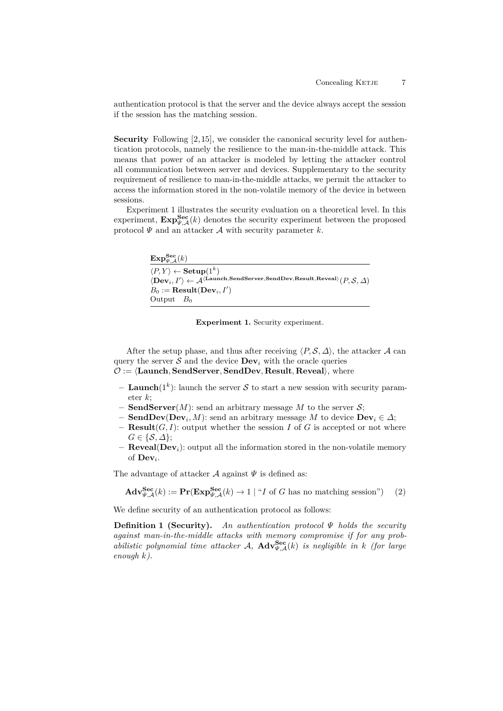authentication protocol is that the server and the device always accept the session if the session has the matching session.

**Security** Following [\[2,](#page-19-0) [15\]](#page-20-2), we consider the canonical security level for authentication protocols, namely the resilience to the man-in-the-middle attack. This means that power of an attacker is modeled by letting the attacker control all communication between server and devices. Supplementary to the security requirement of resilience to man-in-the-middle attacks, we permit the attacker to access the information stored in the non-volatile memory of the device in between sessions.

Experiment [1](#page-6-0) illustrates the security evaluation on a theoretical level. In this experiment,  $\mathbf{Exp}_{\Psi,\mathcal{A}}^{\mathbf{Sec}}(k)$  denotes the security experiment between the proposed protocol  $\Psi$  and an attacker  $\mathcal A$  with security parameter  $k$ .

 $\mathbf{Exp}_{\Psi,\mathcal{A}}^{\mathbf{Sec}}(k)$  $\langle P, Y \rangle \leftarrow$  **Setup** $(1^k)$  $\langle \textbf{Dev}_i, I' \rangle \leftarrow \mathcal{A}^{\langle \textbf{Launch}, \textbf{SendServer}, \textbf{SendDev}, \textbf{Result}, \textbf{Reveal} \rangle} (P, \mathcal{S}, \mathcal{A})$  $B_0 := \textbf{Result}(\textbf{Dev}_i, I')$ Output *B*<sup>0</sup>

<span id="page-6-0"></span>**Experiment 1.** Security experiment.

After the setup phase, and thus after receiving  $\langle P, S, \Delta \rangle$ , the attacker A can query the server  $S$  and the device  $\mathbf{Dev}_i$  with the oracle queries O := ⟨**Launch***,* **SendServer***,* **SendDev***,* **Result***,* **Reveal**⟩, where

- **Launch** $(1<sup>k</sup>)$ : launch the server S to start a new session with security parameter *k*;
- **SendServer** $(M)$ : send an arbitrary message M to the server S;
- $-$  **SendDev**( $\text{Dev}_i, M$ ): send an arbitrary message *M* to device  $\text{Dev}_i \in \Delta$ ;
- **– Result**(*G, I*): output whether the session *I* of *G* is accepted or not where *G* ∈ {S*, ∆*};
- **– Reveal**(**Dev***i*): output all the information stored in the non-volatile memory of  $\mathbf{Dev}_i$ .

The advantage of attacker A against *Ψ* is defined as:

$$
\mathbf{Adv}_{\Psi,\mathcal{A}}^{\mathbf{Sec}}(k) := \mathbf{Pr}(\mathbf{Exp}_{\Psi,\mathcal{A}}^{\mathbf{Sec}}(k) \to 1 \mid "I \text{ of } G \text{ has no matching session"}) \tag{2}
$$

We define security of an authentication protocol as follows:

**Definition 1 (Security).** *An authentication protocol Ψ holds the security against man-in-the-middle attacks with memory compromise if for any probabilistic polynomial time attacker*  $\mathcal{A}$ ,  $\mathbf{Adv}_{\Psi,\mathcal{A}}^{\mathbf{Sec}}(k)$  *is negligible in k (for large enough k).*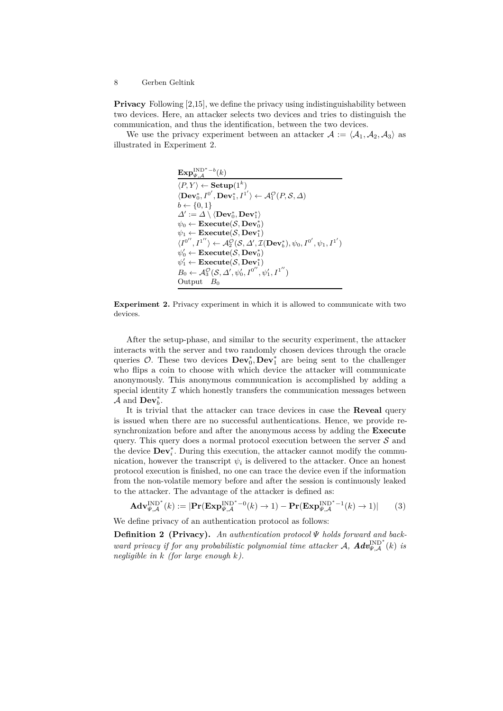**Privacy** Following [\[2,](#page-19-0)[15\]](#page-20-2), we define the privacy using indistinguishability between two devices. Here, an attacker selects two devices and tries to distinguish the communication, and thus the identification, between the two devices.

We use the privacy experiment between an attacker  $A := \langle A_1, A_2, A_3 \rangle$  as illustrated in Experiment [2.](#page-7-0)

$$
\begin{array}{l} \hbox{\bf Exp}_{\Psi,\mathcal{A}}^{\hbox{\rm IND}^* - b}(k)\\ \langle P,Y\rangle \leftarrow \hbox{\bf Setup}(1^k)\\ \langle \hbox{\bf Dev}_0^*,I^{0'},\hbox{\bf Dev}_1^*,I^{1'}\rangle \leftarrow \mathcal{A}_1^{\mathcal{O}}(P,S,\varDelta)\\ b \leftarrow \{0,1\}\\ \varDelta':=\varDelta\setminus \langle \hbox{\bf Dev}_0^*,\hbox{\bf Dev}_1^*\rangle\\ \psi_0 \leftarrow \hbox{\bf Execute}(S,\hbox{\bf Dev}_0^*)\\ \psi_1 \leftarrow \hbox{\bf Executive}(S,\hbox{\bf Dev}_1^*)\\ \langle I^{0'',},I^{1''}\rangle \leftarrow \mathcal{A}_2^{\mathcal{O}}(S,\varDelta',\mathcal{I}(\hbox{\bf Dev}_b^*),\psi_0,I^{0'},\psi_1,I^{1'})\\ \psi_0' \leftarrow \hbox{\bf Executive}(S,\hbox{\bf Dev}_0^*)\\ \psi_1' \leftarrow \hbox{\bf Executive}(S,\hbox{\bf Dev}_1^*)\\ B_0 \leftarrow \mathcal{A}_3^{\mathcal{O}}(S,\varDelta',\psi_0',I^{0'',},\psi_1',I^{1''})\\ \hbox{\bf Output} \quad B_0 \end{array}
$$

<span id="page-7-0"></span>**Experiment 2.** Privacy experiment in which it is allowed to communicate with two devices.

After the setup-phase, and similar to the security experiment, the attacker interacts with the server and two randomly chosen devices through the oracle queries  $\mathcal{O}$ . These two devices  $\mathbf{Dev}_0^*$ ,  $\mathbf{Dev}_1^*$  are being sent to the challenger who flips a coin to choose with which device the attacker will communicate anonymously. This anonymous communication is accomplished by adding a special identity  $\mathcal I$  which honestly transfers the communication messages between  $\mathcal A$  and  $\mathbf{Dev}_b^*$ .

It is trivial that the attacker can trace devices in case the **Reveal** query is issued when there are no successful authentications. Hence, we provide resynchronization before and after the anonymous access by adding the **Execute** query. This query does a normal protocol execution between the server  $S$  and the device  $\text{Dev}_i^*$ . During this execution, the attacker cannot modify the communication, however the transcript  $\psi_i$  is delivered to the attacker. Once an honest protocol execution is finished, no one can trace the device even if the information from the non-volatile memory before and after the session is continuously leaked to the attacker. The advantage of the attacker is defined as:

$$
\mathbf{Adv}_{\Psi,\mathcal{A}}^{\mathrm{IND}^*}(k) := |\mathbf{Pr}(\mathbf{Exp}_{\Psi,\mathcal{A}}^{\mathrm{IND}^* - 0}(k) \to 1) - \mathbf{Pr}(\mathbf{Exp}_{\Psi,\mathcal{A}}^{\mathrm{IND}^* - 1}(k) \to 1)| \qquad (3)
$$

We define privacy of an authentication protocol as follows:

**Definition 2 (Privacy).** *An authentication protocol Ψ holds forward and backward privacy if for any probabilistic polynomial time attacker*  $\mathcal{A}$ ,  $\boldsymbol{Adv}_{\Psi,\mathcal{A}}^{\text{IND}^{*}}(k)$  *is negligible in k (for large enough k).*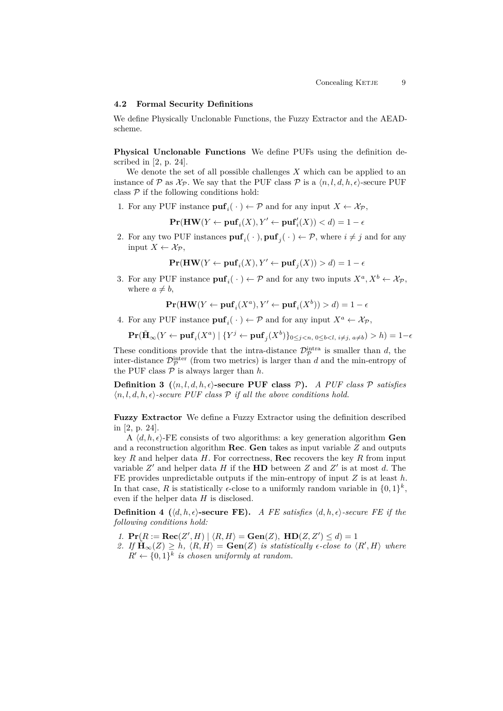## **4.2 Formal Security Definitions**

We define Physically Unclonable Functions, the Fuzzy Extractor and the AEADscheme.

**Physical Unclonable Functions** We define PUFs using the definition described in [\[2,](#page-19-0) p. 24].

We denote the set of all possible challenges *X* which can be applied to an instance of P as  $\mathcal{X}_{\mathcal{P}}$ . We say that the PUF class P is a  $\langle n, l, d, h, \epsilon \rangle$ -secure PUF class  $P$  if the following conditions hold:

1. For any PUF instance  $\text{put}_i(\cdot) \leftarrow \mathcal{P}$  and for any input  $X \leftarrow \mathcal{X}_{\mathcal{P}}$ ,

 $\mathbf{Pr}(\mathbf{H}\mathbf{W}(Y \leftarrow \mathbf{puf}_i(X), Y' \leftarrow \mathbf{puf}'_i(X)) < d) = 1 - \epsilon$ 

2. For any two PUF instances  $\text{put}_i(\cdot)$ ,  $\text{put}_j(\cdot) \leftarrow \mathcal{P}$ , where  $i \neq j$  and for any input  $X \leftarrow \mathcal{X}_{\mathcal{P}}$ ,

 $\mathbf{Pr}(\mathbf{H}\mathbf{W}(Y \leftarrow \mathbf{p}\mathbf{u}\mathbf{f}_i(X), Y' \leftarrow \mathbf{p}\mathbf{u}\mathbf{f}_j(X)) > d) = 1 - \epsilon$ 

3. For any PUF instance  $\text{put}_i(\cdot) \leftarrow \mathcal{P}$  and for any two inputs  $X^a, X^b \leftarrow \mathcal{X}_{\mathcal{P}}$ , where  $a \neq b$ ,

$$
\mathbf{Pr}(\mathbf{HW}(Y \leftarrow \mathbf{puf}_i(X^a), Y' \leftarrow \mathbf{puf}_i(X^b)) > d) = 1 - \epsilon
$$

4. For any PUF instance  $\text{put}_i(\cdot) \leftarrow \mathcal{P}$  and for any input  $X^a \leftarrow \mathcal{X}_{\mathcal{P}}$ ,

$$
\mathbf{Pr}(\tilde{\mathbf{H}}_{\infty}(Y \leftarrow \mathbf{puf}_i(X^a) \mid \{Y^j \leftarrow \mathbf{puf}_j(X^b)\}_{0 \le j < n, \ 0 \le b < l, \ i \ne j, \ a \ne b}) > h) = 1 - \epsilon
$$

These conditions provide that the intra-distance  $\mathcal{D}_{\mathcal{P}}^{\text{intra}}$  is smaller than *d*, the inter-distance  $\mathcal{D}_{\mathcal{P}}^{\text{inter}}$  (from two metrics) is larger than *d* and the min-entropy of the PUF class  $\mathcal P$  is always larger than  $h$ .

**Definition 3**  $(\langle n, l, d, h, \epsilon \rangle)$ -secure PUF class  $\mathcal{P}$ ). *A PUF class*  $\mathcal{P}$  *satisfies*  $\langle n, l, d, h, \epsilon \rangle$ -secure PUF class  $P$  if all the above conditions hold.

**Fuzzy Extractor** We define a Fuzzy Extractor using the definition described in [\[2,](#page-19-0) p. 24].

A  $\langle d, h, \epsilon \rangle$ -FE consists of two algorithms: a key generation algorithm **Gen** and a reconstruction algorithm **Rec**. **Gen** takes as input variable *Z* and outputs key *R* and helper data *H*. For correctness, **Rec** recovers the key *R* from input variable *Z* ′ and helper data *H* if the **HD** between *Z* and *Z* ′ is at most *d*. The FE provides unpredictable outputs if the min-entropy of input *Z* is at least *h*. In that case, *R* is statistically  $\epsilon$ -close to a uniformly random variable in  $\{0,1\}^k$ , even if the helper data *H* is disclosed.

**Definition 4**  $(\langle d, h, \epsilon \rangle)$ -secure **FE**). *A FE satisfies*  $\langle d, h, \epsilon \rangle$ -secure *FE* if the *following conditions hold:*

- *1.*  $Pr(R := Rec(Z', H) | \langle R, H \rangle = Gen(Z), HD(Z, Z') \le d) = 1$
- 2. If  $\mathbf{\hat{H}}_{\infty}(Z) \geq h$ ,  $\langle R, H \rangle = \mathbf{Gen}(Z)$  *is statistically*  $\epsilon$ -close to  $\langle R', H \rangle$  where  $R' \leftarrow \{0,1\}^k$  *is chosen uniformly at random.*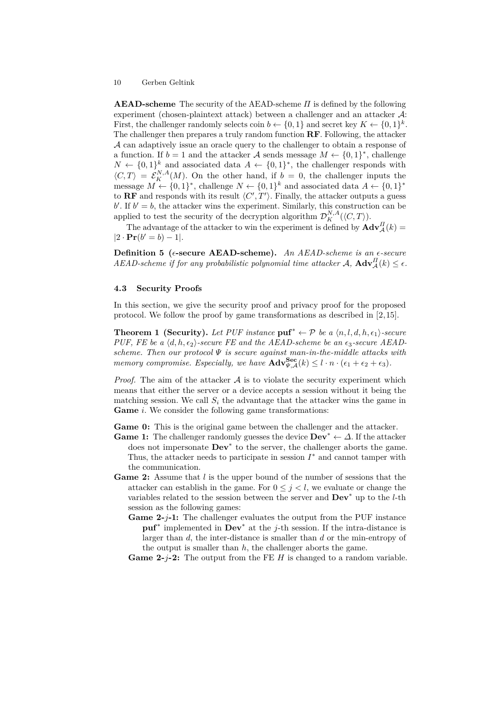**AEAD-scheme** The security of the AEAD-scheme *Π* is defined by the following experiment (chosen-plaintext attack) between a challenger and an attacker A: First, the challenger randomly selects coin  $b \leftarrow \{0, 1\}$  and secret key  $K \leftarrow \{0, 1\}^k$ . The challenger then prepares a truly random function **RF**. Following, the attacker A can adaptively issue an oracle query to the challenger to obtain a response of a function. If  $b = 1$  and the attacker A sends message  $M \leftarrow \{0, 1\}^*$ , challenge  $N \leftarrow \{0,1\}^k$  and associated data  $A \leftarrow \{0,1\}^*$ , the challenger responds with  $\langle C, T \rangle = \mathcal{E}_K^{N,A}(M)$ . On the other hand, if  $b = 0$ , the challenger inputs the message  $M \leftarrow \{0,1\}^*$ , challenge  $N \leftarrow \{0,1\}^k$  and associated data  $A \leftarrow \{0,1\}^*$ to **RF** and responds with its result  $\langle C', T' \rangle$ . Finally, the attacker outputs a guess  $b'$ . If  $b' = b$ , the attacker wins the experiment. Similarly, this construction can be applied to test the security of the decryption algorithm  $\mathcal{D}_{K}^{N,A}(\langle C,T \rangle)$ .

The advantage of the attacker to win the experiment is defined by  $\mathbf{Adv}_{\mathcal{A}}^{H}(k)$  $|2 \cdot \mathbf{Pr}(b' = b) - 1|.$ 

**Definition 5 (***ϵ***-secure AEAD-scheme).** *An AEAD-scheme is an ϵ-secure AEAD-scheme if for any probabilistic polynomial time attacker*  $A$ ,  $\mathbf{Adv}_{\mathcal{A}}^{H}(k) \leq \epsilon$ .

#### **4.3 Security Proofs**

In this section, we give the security proof and privacy proof for the proposed protocol. We follow the proof by game transformations as described in [\[2,](#page-19-0) [15\]](#page-20-2).

<span id="page-9-0"></span>**Theorem 1 (Security).** Let PUF instance  $\text{put}^* \leftarrow \mathcal{P}$  be a  $\langle n, l, d, h, \epsilon_1 \rangle$ -secure *PUF, FE be a*  $\langle d, h, \epsilon_2 \rangle$ *-secure FE and the AEAD-scheme be an*  $\epsilon_3$ *-secure AEADscheme. Then our protocol Ψ is secure against man-in-the-middle attacks with memory compromise. Especially, we have*  $\mathbf{Adv}_{\Psi,\mathcal{A}}^{\mathbf{Sec}}(k) \leq l \cdot n \cdot (\epsilon_1 + \epsilon_2 + \epsilon_3)$ .

*Proof.* The aim of the attacker  $A$  is to violate the security experiment which means that either the server or a device accepts a session without it being the matching session. We call  $S_i$  the advantage that the attacker wins the game in **Game** *i*. We consider the following game transformations:

**Game 0:** This is the original game between the challenger and the attacker.

- **Game 1:** The challenger randomly guesses the device  $\text{Dev}^* \leftarrow \Delta$ . If the attacker does not impersonate **Dev**<sup>∗</sup> to the server, the challenger aborts the game. Thus, the attacker needs to participate in session  $I^*$  and cannot tamper with the communication.
- **Game 2:** Assume that *l* is the upper bound of the number of sessions that the attacker can establish in the game. For  $0 \leq j \leq l$ , we evaluate or change the variables related to the session between the server and **Dev**<sup>∗</sup> up to the *l*-th session as the following games:
	- **Game 2-***j***-1:** The challenger evaluates the output from the PUF instance **puf**<sup>∗</sup> implemented in **Dev**<sup>∗</sup> at the *j*-th session. If the intra-distance is larger than *d*, the inter-distance is smaller than *d* or the min-entropy of the output is smaller than  $h$ , the challenger aborts the game.
	- **Game 2-***j***-2:** The output from the FE *H* is changed to a random variable.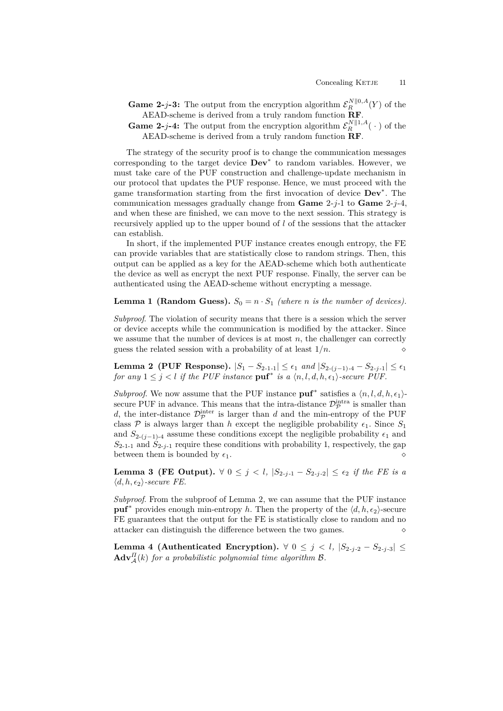**Game** 2-*j***-3:** The output from the encryption algorithm  $\mathcal{E}_R^{N \parallel 0, A}(Y)$  of the AEAD-scheme is derived from a truly random function **RF**.

**Game** 2-*j*-4: The output from the encryption algorithm  $\mathcal{E}_R^{N||1,A}(\cdot)$  of the AEAD-scheme is derived from a truly random function **RF**.

The strategy of the security proof is to change the communication messages corresponding to the target device **Dev**<sup>∗</sup> to random variables. However, we must take care of the PUF construction and challenge-update mechanism in our protocol that updates the PUF response. Hence, we must proceed with the game transformation starting from the first invocation of device **Dev**<sup>∗</sup> . The communication messages gradually change from **Game** 2-*j*-1 to **Game** 2-*j*-4, and when these are finished, we can move to the next session. This strategy is recursively applied up to the upper bound of *l* of the sessions that the attacker can establish.

In short, if the implemented PUF instance creates enough entropy, the FE can provide variables that are statistically close to random strings. Then, this output can be applied as a key for the AEAD-scheme which both authenticate the device as well as encrypt the next PUF response. Finally, the server can be authenticated using the AEAD-scheme without encrypting a message.

# **Lemma 1 (Random Guess).**  $S_0 = n \cdot S_1$  *(where n is the number of devices).*

*Subproof*. The violation of security means that there is a session which the server or device accepts while the communication is modified by the attacker. Since we assume that the number of devices is at most  $n$ , the challenger can correctly guess the related session with a probability of at least 1*/n*. ⋄

<span id="page-10-0"></span>**Lemma 2** (PUF Response).  $|S_1 - S_{2-1-1}| \leq \epsilon_1$  *and*  $|S_{2-(j-1)-4} - S_{2-j-1}| \leq \epsilon_1$ *for any*  $1 \leq j < l$  *if the PUF instance*  $\text{put}^*$  *is a*  $\langle n, l, d, h, \epsilon_1 \rangle$ *-secure PUF.* 

*Subproof.* We now assume that the PUF instance  $\text{put}^*$  satisfies a  $\langle n, l, d, h, \epsilon_1 \rangle$ secure PUF in advance. This means that the intra-distance  $\mathcal{D}^{\text{intra}}_{\mathcal{P}}$  is smaller than d, the inter-distance  $\mathcal{D}_{\mathcal{P}}^{\text{inter}}$  is larger than d and the min-entropy of the PUF class P is always larger than h except the negligible probability  $\epsilon_1$ . Since  $S_1$ and  $S_{2-(j-1)-4}$  assume these conditions except the negligible probability  $\epsilon_1$  and  $S_{2-1-1}$  and  $S_{2-j-1}$  require these conditions with probability 1, respectively, the gap between them is bounded by *ϵ*1. ⋄

**Lemma 3** (FE Output). ∀  $0 \leq j < l$ ,  $|S_{2-j-1} - S_{2-j-2}| \leq \epsilon_2$  *if the FE is a*  $\langle d, h, \epsilon_2 \rangle$ *-secure FE.* 

*Subproof*. From the subproof of Lemma [2,](#page-10-0) we can assume that the PUF instance **puf**<sup>\*</sup> provides enough min-entropy *h*. Then the property of the  $\langle d, h, \epsilon_2 \rangle$ -secure FE guarantees that the output for the FE is statistically close to random and no attacker can distinguish the difference between the two games.  $\diamond$ 

<span id="page-10-1"></span>**Lemma** 4 (Authenticated Encryption). ∀  $0 ≤ j < l$ ,  $|S_{2-j-2} - S_{2-j-3}| ≤$  $\mathbf{Adv}_{\mathcal{A}}^{II}(k)$  for a probabilistic polynomial time algorithm  $\mathcal{B}$ .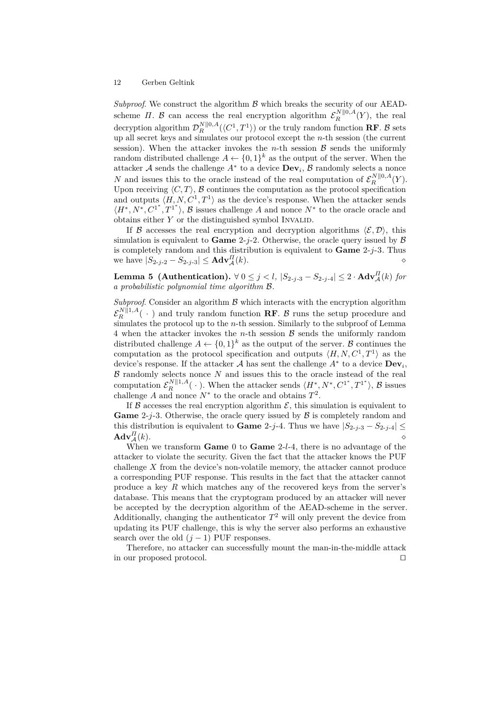*Subproof.* We construct the algorithm  $\beta$  which breaks the security of our AEADscheme *Π*. B can access the real encryption algorithm  $\mathcal{E}_R^{N||0,A}(Y)$ , the real decryption algorithm  $\mathcal{D}_R^{\mathcal{N}||0,A}(\langle C^1,T^1\rangle)$  or the truly random function  $\mathbf{RF}$ . B sets up all secret keys and simulates our protocol except the *n*-th session (the current session). When the attacker invokes the *n*-th session  $\beta$  sends the uniformly random distributed challenge  $A \leftarrow \{0,1\}^k$  as the output of the server. When the attacker  $A$  sends the challenge  $A^*$  to a device  $\mathbf{Dev}_i$ ,  $B$  randomly selects a nonce *N* and issues this to the oracle instead of the real computation of  $\mathcal{E}_R^{N \parallel 0, A}(Y)$ . Upon receiving  $\langle C, T \rangle$ ,  $\beta$  continues the computation as the protocol specification and outputs  $\langle H, N, C^1, T^1 \rangle$  as the device's response. When the attacker sends  $\langle H^*, N^*, C^{1^*}, T^{1^*} \rangle$ ,  $\beta$  issues challenge *A* and nonce  $N^*$  to the oracle oracle and obtains either *Y* or the distinguished symbol INVALID.

If B accesses the real encryption and decryption algorithms  $\langle \mathcal{E}, \mathcal{D} \rangle$ , this simulation is equivalent to **Game** 2-*j*-2. Otherwise, the oracle query issued by  $\beta$ is completely random and this distribution is equivalent to **Game** 2-*j*-3. Thus  $\text{we have } |S_{2 \text{-} j \text{-} 2} - S_{2 \text{-} j \text{-} 3}|$  ≤  $\text{Adv}_{\mathcal{A}}^{II}(k)$ . ◇

 $\textbf{Lemma 5 (Authentication).} \; \forall \; 0 \leq j < l, \; |S_{2 \text{-} j \text{-} 3} - S_{2 \text{-} j \text{-} 4}| \leq 2 \cdot \textbf{Adv}_{\mathcal{A}}^{II}(k) \; \textit{for}$ *a probabilistic polynomial time algorithm* B*.*

*Subproof.* Consider an algorithm  $\beta$  which interacts with the encryption algorithm  $\mathcal{E}_R^{N||1,A}(\ \cdot\ )$  and truly random function **RF**. B runs the setup procedure and simulates the protocol up to the *n*-th session. Similarly to the subproof of Lemma [4](#page-10-1) when the attacker invokes the *n*-th session B sends the uniformly random distributed challenge  $A \leftarrow \{0,1\}^k$  as the output of the server. B continues the computation as the protocol specification and outputs  $\langle H, N, C^1, T^1 \rangle$  as the device's response. If the attacker  $A$  has sent the challenge  $A^*$  to a device  $\text{Dev}_i$ ,  $B$  randomly selects nonce  $N$  and issues this to the oracle instead of the real computation  $\mathcal{E}_R^{N||1,A}(\cdot)$ . When the attacker sends  $\langle H^*, N^*, C^{1^*}, T^{1^*} \rangle$ ,  $\mathcal{B}$  issues challenge *A* and nonce  $N^*$  to the oracle and obtains  $T^2$ .

If  $\beta$  accesses the real encryption algorithm  $\mathcal{E}$ , this simulation is equivalent to **Game** 2-*j*-3. Otherwise, the oracle query issued by B is completely random and this distribution is equivalent to **Game** 2-*j*-4. Thus we have  $|S_{2-j-3} - S_{2-j-4}| \leq$  $\mathbf{Adv}_{\mathcal{A}}^{\Pi}(k)$ .  $\mathcal{A}^{II}(k).$ 

When we transform **Game** 0 to **Game** 2-*l*-4, there is no advantage of the attacker to violate the security. Given the fact that the attacker knows the PUF challenge *X* from the device's non-volatile memory, the attacker cannot produce a corresponding PUF response. This results in the fact that the attacker cannot produce a key *R* which matches any of the recovered keys from the server's database. This means that the cryptogram produced by an attacker will never be accepted by the decryption algorithm of the AEAD-scheme in the server. Additionally, changing the authenticator  $T^2$  will only prevent the device from updating its PUF challenge, this is why the server also performs an exhaustive search over the old  $(j-1)$  PUF responses.

Therefore, no attacker can successfully mount the man-in-the-middle attack in our proposed protocol. ⊓⊔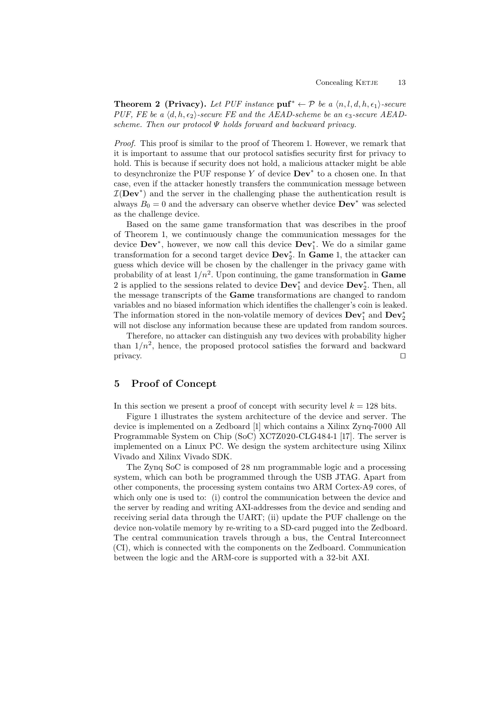**Theorem 2 (Privacy).** *Let PUF instance*  $\text{put}^* \leftarrow \mathcal{P}$  *be a*  $\langle n, l, d, h, \epsilon_1 \rangle$ *-secure PUF, FE be a*  $\langle d, h, \epsilon_2 \rangle$ *-secure FE and the AEAD-scheme be an*  $\epsilon_3$ *-secure AEADscheme. Then our protocol Ψ holds forward and backward privacy.*

*Proof.* This proof is similar to the proof of Theorem [1.](#page-9-0) However, we remark that it is important to assume that our protocol satisfies security first for privacy to hold. This is because if security does not hold, a malicious attacker might be able to desynchronize the PUF response *Y* of device **Dev**<sup>∗</sup> to a chosen one. In that case, even if the attacker honestly transfers the communication message between  $I(Dev<sup>*</sup>)$  and the server in the challenging phase the authentication result is always  $B_0 = 0$  and the adversary can observe whether device  $\text{Dev}^*$  was selected as the challenge device.

Based on the same game transformation that was describes in the proof of Theorem [1,](#page-9-0) we continuously change the communication messages for the device Dev<sup>∗</sup>, however, we now call this device Dev<sup>∗</sup><sub>1</sub>. We do a similar game transformation for a second target device  $\text{Dev}_{2}^{*}$ . In **Game** 1, the attacker can guess which device will be chosen by the challenger in the privacy game with probability of at least 1*/n*<sup>2</sup> . Upon continuing, the game transformation in **Game** 2 is applied to the sessions related to device Dev<sub>1</sub><sup>∗</sup> and device Dev<sub>2</sub><sup>∗</sup>. Then, all the message transcripts of the **Game** transformations are changed to random variables and no biased information which identifies the challenger's coin is leaked. The information stored in the non-volatile memory of devices  $\text{Dev}_1^*$  and  $\text{Dev}_2^*$ will not disclose any information because these are updated from random sources.

Therefore, no attacker can distinguish any two devices with probability higher than  $1/n^2$ , hence, the proposed protocol satisfies the forward and backward privacy. □

# <span id="page-12-0"></span>**5 Proof of Concept**

In this section we present a proof of concept with security level  $k = 128$  bits.

[Figure](#page-13-0) 1 illustrates the system architecture of the device and server. The device is implemented on a Zedboard [\[1\]](#page-19-2) which contains a Xilinx Zynq-7000 All Programmable System on Chip (SoC) XC7Z020-CLG484-1 [\[17\]](#page-20-7). The server is implemented on a Linux PC. We design the system architecture using Xilinx Vivado and Xilinx Vivado SDK.

The Zynq SoC is composed of 28 nm programmable logic and a processing system, which can both be programmed through the USB JTAG. Apart from other components, the processing system contains two ARM Cortex-A9 cores, of which only one is used to: (i) control the communication between the device and the server by reading and writing AXI-addresses from the device and sending and receiving serial data through the UART; (ii) update the PUF challenge on the device non-volatile memory by re-writing to a SD-card pugged into the Zedboard. The central communication travels through a bus, the Central Interconnect (CI), which is connected with the components on the Zedboard. Communication between the logic and the ARM-core is supported with a 32-bit AXI.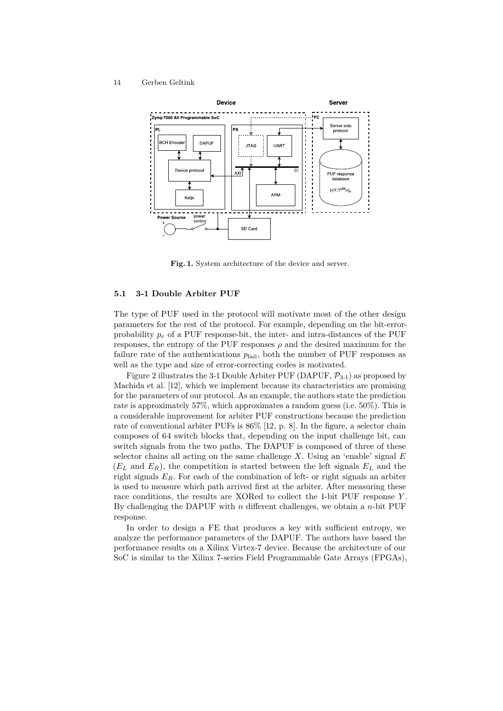<span id="page-13-0"></span>

**Fig. 1.** System architecture of the device and server.

#### **5.1 3-1 Double Arbiter PUF**

The type of PUF used in the protocol will motivate most of the other design parameters for the rest of the protocol. For example, depending on the bit-errorprobability *p<sup>e</sup>* of a PUF response-bit, the inter- and intra-distances of the PUF responses, the entropy of the PUF responses  $\rho$  and the desired maximum for the failure rate of the authentications  $p_{fail}$ , both the number of PUF responses as well as the type and size of error-correcting codes is motivated.

[Figure](#page-14-0) 2 illustrates the 3-1 Double Arbiter PUF (DAPUF,  $\mathcal{P}_{3-1}$ ) as proposed by Machida et al. [\[12\]](#page-20-8), which we implement because its characteristics are promising for the parameters of our protocol. As an example, the authors state the prediction rate is approximately 57%, which approximates a random guess (i.e. 50%). This is a considerable improvement for arbiter PUF constructions because the prediction rate of conventional arbiter PUFs is 86% [\[12,](#page-20-8) p. 8]. In the figure, a selector chain composes of 64 switch blocks that, depending on the input challenge bit, can switch signals from the two paths. The DAPUF is composed of three of these selector chains all acting on the same challenge *X*. Using an 'enable' signal *E*  $(E_L$  and  $E_R$ ), the competition is started between the left signals  $E_L$  and the right signals *ER*. For each of the combination of left- or right signals an arbiter is used to measure which path arrived first at the arbiter. After measuring these race conditions, the results are XORed to collect the 1-bit PUF response *Y* . By challenging the DAPUF with *n* different challenges, we obtain a *n*-bit PUF response.

In order to design a FE that produces a key with sufficient entropy, we analyze the performance parameters of the DAPUF. The authors have based the performance results on a Xilinx Virtex-7 device. Because the architecture of our SoC is similar to the Xilinx 7-series Field Programmable Gate Arrays (FPGAs),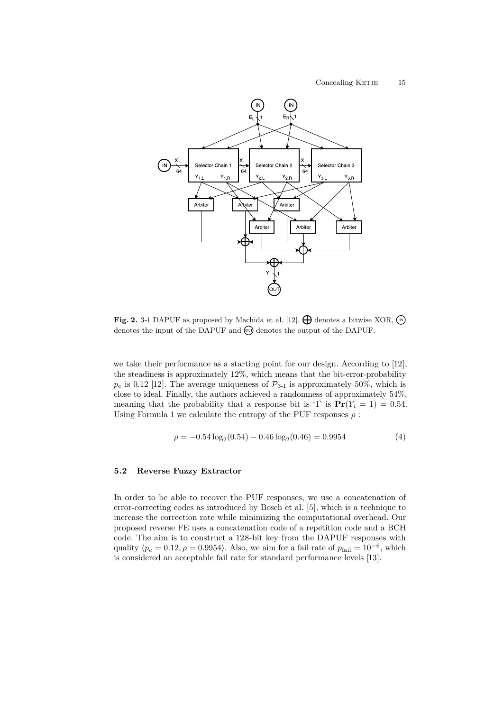<span id="page-14-0"></span>

**Fig. 2.** 3-1 DAPUF as proposed by Machida et al. [\[12\]](#page-20-8).  $\bigoplus$  denotes a bitwise XOR,  $\mathbb{R}$ denotes the input of the DAPUF and  $\circledcirc$  denotes the output of the DAPUF.

we take their performance as a starting point for our design. According to [\[12\]](#page-20-8), the steadiness is approximately 12%, which means that the bit-error-probability  $p_e$  is 0.12 [\[12\]](#page-20-8). The average uniqueness of  $\mathcal{P}_{3-1}$  is approximately 50%, which is close to ideal. Finally, the authors achieved a randomness of approximately 54%, meaning that the probability that a response bit is '1' is  $\Pr(Y_i = 1) = 0.54$ . Using Formula [1](#page-2-1) we calculate the entropy of the PUF responses  $\rho$ :

$$
\rho = -0.54 \log_2(0.54) - 0.46 \log_2(0.46) = 0.9954 \tag{4}
$$

## **5.2 Reverse Fuzzy Extractor**

In order to be able to recover the PUF responses, we use a concatenation of error-correcting codes as introduced by Bosch et al. [\[5\]](#page-20-9), which is a technique to increase the correction rate while minimizing the computational overhead. Our proposed reverse FE uses a concatenation code of a repetition code and a BCH code. The aim is to construct a 128-bit key from the DAPUF responses with quality  $\langle p_e = 0.12, \rho = 0.9954 \rangle$ . Also, we aim for a fail rate of  $p_{\text{fail}} = 10^{-6}$ , which is considered an acceptable fail rate for standard performance levels [\[13\]](#page-20-6).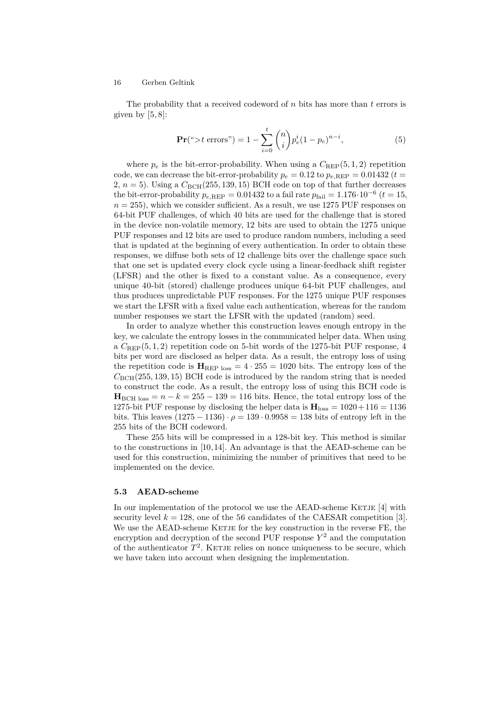The probability that a received codeword of *n* bits has more than *t* errors is given by  $[5, 8]$  $[5, 8]$  $[5, 8]$ :

<span id="page-15-0"></span>
$$
\mathbf{Pr}(\text{``>}t \text{ errors''}) = 1 - \sum_{i=0}^{t} \binom{n}{i} p_e^i (1 - p_e)^{n - i},\tag{5}
$$

where  $p_e$  is the bit-error-probability. When using a  $C_{\text{REP}}(5,1,2)$  repetition code, we can decrease the bit-error-probability  $p_e = 0.12$  to  $p_{e, \text{REP}} = 0.01432$  (*t* = 2,  $n = 5$ ). Using a  $C_{\text{BCH}}(255, 139, 15)$  BCH code on top of that further decreases the bit-error-probability  $p_{e,\text{REP}} = 0.01432$  to a fail rate  $p_{\text{fail}} = 1.176 \cdot 10^{-6}$  (*t* = 15,  $n = 255$ , which we consider sufficient. As a result, we use 1275 PUF responses on 64-bit PUF challenges, of which 40 bits are used for the challenge that is stored in the device non-volatile memory, 12 bits are used to obtain the 1275 unique PUF responses and 12 bits are used to produce random numbers, including a seed that is updated at the beginning of every authentication. In order to obtain these responses, we diffuse both sets of 12 challenge bits over the challenge space such that one set is updated every clock cycle using a linear-feedback shift register (LFSR) and the other is fixed to a constant value. As a consequence, every unique 40-bit (stored) challenge produces unique 64-bit PUF challenges, and thus produces unpredictable PUF responses. For the 1275 unique PUF responses we start the LFSR with a fixed value each authentication, whereas for the random number responses we start the LFSR with the updated (random) seed.

In order to analyze whether this construction leaves enough entropy in the key, we calculate the entropy losses in the communicated helper data. When using a  $C_{\text{REP}}(5,1,2)$  repetition code on 5-bit words of the 1275-bit PUF response, 4 bits per word are disclosed as helper data. As a result, the entropy loss of using the repetition code is  $H_{\text{REP loss}} = 4 \cdot 255 = 1020$  bits. The entropy loss of the  $C_{\rm BCH}(255, 139, 15)$  BCH code is introduced by the random string that is needed to construct the code. As a result, the entropy loss of using this BCH code is  $\mathbf{H}_{\text{BCH loss}} = n - k = 255 - 139 = 116$  bits. Hence, the total entropy loss of the 1275-bit PUF response by disclosing the helper data is  $H<sub>loss</sub> = 1020 + 116 = 1136$ bits. This leaves  $(1275 - 1136) \cdot \rho = 139 \cdot 0.9958 = 138$  bits of entropy left in the 255 bits of the BCH codeword.

These 255 bits will be compressed in a 128-bit key. This method is similar to the constructions in [\[10,](#page-20-11) [14\]](#page-20-12). An advantage is that the AEAD-scheme can be used for this construction, minimizing the number of primitives that need to be implemented on the device.

#### **5.3 AEAD-scheme**

In our implementation of the protocol we use the AEAD-scheme KETJE  $[4]$  with security level  $k = 128$ , one of the 56 candidates of the CAESAR competition [\[3\]](#page-19-4). We use the AEAD-scheme KETJE for the key construction in the reverse FE, the encryption and decryption of the second PUF response *Y* <sup>2</sup> and the computation of the authenticator  $T^2$ . KETJE relies on nonce uniqueness to be secure, which we have taken into account when designing the implementation.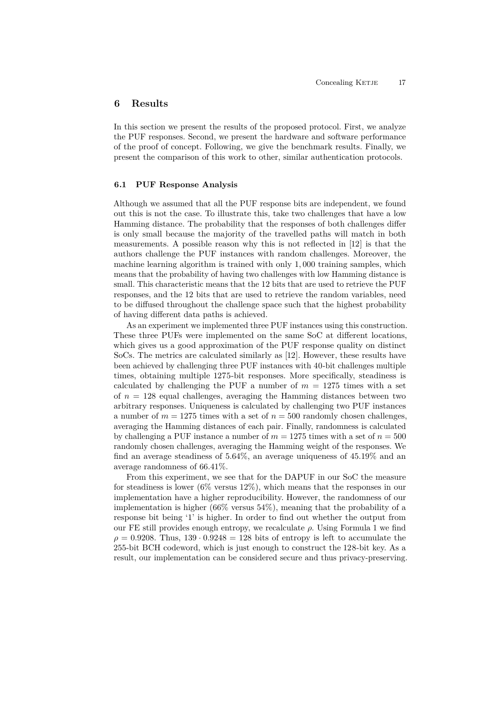# <span id="page-16-0"></span>**6 Results**

In this section we present the results of the proposed protocol. First, we analyze the PUF responses. Second, we present the hardware and software performance of the proof of concept. Following, we give the benchmark results. Finally, we present the comparison of this work to other, similar authentication protocols.

#### **6.1 PUF Response Analysis**

Although we assumed that all the PUF response bits are independent, we found out this is not the case. To illustrate this, take two challenges that have a low Hamming distance. The probability that the responses of both challenges differ is only small because the majority of the travelled paths will match in both measurements. A possible reason why this is not reflected in [\[12\]](#page-20-8) is that the authors challenge the PUF instances with random challenges. Moreover, the machine learning algorithm is trained with only 1*,* 000 training samples, which means that the probability of having two challenges with low Hamming distance is small. This characteristic means that the 12 bits that are used to retrieve the PUF responses, and the 12 bits that are used to retrieve the random variables, need to be diffused throughout the challenge space such that the highest probability of having different data paths is achieved.

As an experiment we implemented three PUF instances using this construction. These three PUFs were implemented on the same SoC at different locations, which gives us a good approximation of the PUF response quality on distinct SoCs. The metrics are calculated similarly as [\[12\]](#page-20-8). However, these results have been achieved by challenging three PUF instances with 40-bit challenges multiple times, obtaining multiple 1275-bit responses. More specifically, steadiness is calculated by challenging the PUF a number of  $m = 1275$  times with a set of  $n = 128$  equal challenges, averaging the Hamming distances between two arbitrary responses. Uniqueness is calculated by challenging two PUF instances a number of  $m = 1275$  times with a set of  $n = 500$  randomly chosen challenges, averaging the Hamming distances of each pair. Finally, randomness is calculated by challenging a PUF instance a number of  $m = 1275$  times with a set of  $n = 500$ randomly chosen challenges, averaging the Hamming weight of the responses. We find an average steadiness of 5*.*64%, an average uniqueness of 45*.*19% and an average randomness of 66*.*41%.

From this experiment, we see that for the DAPUF in our SoC the measure for steadiness is lower (6% versus 12%), which means that the responses in our implementation have a higher reproducibility. However, the randomness of our implementation is higher  $(66\%$  versus  $54\%)$ , meaning that the probability of a response bit being '1' is higher. In order to find out whether the output from our FE still provides enough entropy, we recalculate *ρ*. Using Formula [1](#page-2-1) we find  $\rho = 0.9208$ . Thus, 139 · 0.9248 = 128 bits of entropy is left to accumulate the 255-bit BCH codeword, which is just enough to construct the 128-bit key. As a result, our implementation can be considered secure and thus privacy-preserving.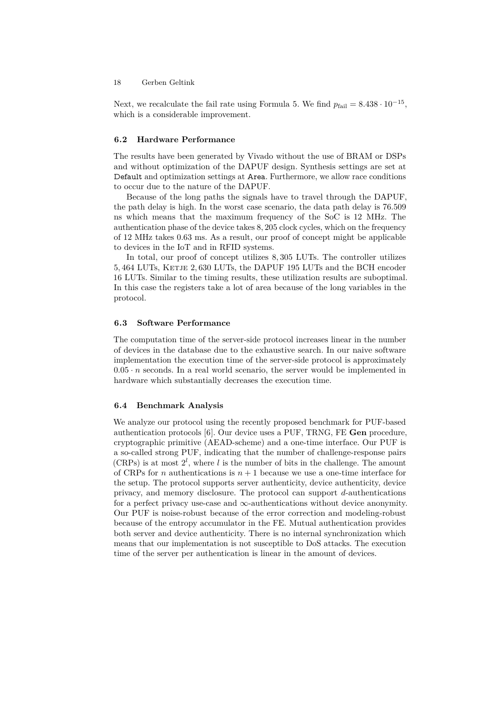Next, we recalculate the fail rate using Formula [5.](#page-15-0) We find  $p_{\text{fail}} = 8.438 \cdot 10^{-15}$ , which is a considerable improvement.

## **6.2 Hardware Performance**

The results have been generated by Vivado without the use of BRAM or DSPs and without optimization of the DAPUF design. Synthesis settings are set at Default and optimization settings at Area. Furthermore, we allow race conditions to occur due to the nature of the DAPUF.

Because of the long paths the signals have to travel through the DAPUF, the path delay is high. In the worst case scenario, the data path delay is 76*.*509 ns which means that the maximum frequency of the SoC is 12 MHz. The authentication phase of the device takes 8*,* 205 clock cycles, which on the frequency of 12 MHz takes 0*.*63 ms. As a result, our proof of concept might be applicable to devices in the IoT and in RFID systems.

In total, our proof of concept utilizes 8*,* 305 LUTs. The controller utilizes 5*,* 464 LUTs, Ketje 2*,* 630 LUTs, the DAPUF 195 LUTs and the BCH encoder 16 LUTs. Similar to the timing results, these utilization results are suboptimal. In this case the registers take a lot of area because of the long variables in the protocol.

# **6.3 Software Performance**

The computation time of the server-side protocol increases linear in the number of devices in the database due to the exhaustive search. In our naive software implementation the execution time of the server-side protocol is approximately  $0.05 \cdot n$  seconds. In a real world scenario, the server would be implemented in hardware which substantially decreases the execution time.

## **6.4 Benchmark Analysis**

We analyze our protocol using the recently proposed benchmark for PUF-based authentication protocols [\[6\]](#page-20-0). Our device uses a PUF, TRNG, FE **Gen** procedure, cryptographic primitive (AEAD-scheme) and a one-time interface. Our PUF is a so-called strong PUF, indicating that the number of challenge-response pairs  $(CRPs)$  is at most  $2^l$ , where *l* is the number of bits in the challenge. The amount of CRPs for *n* authentications is  $n + 1$  because we use a one-time interface for the setup. The protocol supports server authenticity, device authenticity, device privacy, and memory disclosure. The protocol can support *d*-authentications for a perfect privacy use-case and  $\infty$ -authentications without device anonymity. Our PUF is noise-robust because of the error correction and modeling-robust because of the entropy accumulator in the FE. Mutual authentication provides both server and device authenticity. There is no internal synchronization which means that our implementation is not susceptible to DoS attacks. The execution time of the server per authentication is linear in the amount of devices.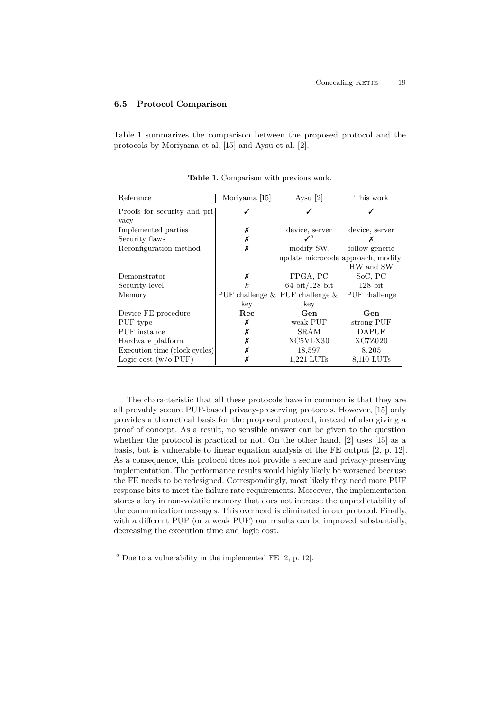#### **6.5 Protocol Comparison**

Table [1](#page-18-0) summarizes the comparison between the proposed protocol and the protocols by Moriyama et al. [\[15\]](#page-20-2) and Aysu et al. [\[2\]](#page-19-0).

<span id="page-18-0"></span>

| Reference                     | Moriyama [15] | Aysu $[2]$                          | This work      |
|-------------------------------|---------------|-------------------------------------|----------------|
| Proofs for security and pri-  |               |                                     |                |
| vacy                          |               |                                     |                |
| Implemented parties           |               | device, server                      | device, server |
| Security flaws                |               |                                     |                |
| Reconfiguration method        | x             | modify SW,                          | follow generic |
|                               |               | update microcode approach, modify   |                |
|                               |               |                                     | HW and SW      |
| Demonstrator                  |               | FPGA, PC                            | SoC, PC        |
| Security-level                | k.            | 64-bit/128-bit                      | $128$ -bit     |
| Memory                        |               | PUF challenge $&$ PUF challenge $&$ | PUF challenge  |
|                               | key           | kev                                 |                |
| Device FE procedure           | Rec           | Gen                                 | Gen            |
| PUF type                      | х             | weak PUF                            | strong PUF     |
| PUF instance                  | Х             | SRAM                                | <b>DAPUF</b>   |
| Hardware platform             | Х             | XC5VLX30                            | XC7Z020        |
| Execution time (clock cycles) |               | 18,597                              | 8,205          |
| Logic cost $(w/o$ PUF)        |               | 1,221 LUTs                          | 8,110 LUTs     |

**Table 1.** Comparison with previous work.

The characteristic that all these protocols have in common is that they are all provably secure PUF-based privacy-preserving protocols. However, [\[15\]](#page-20-2) only provides a theoretical basis for the proposed protocol, instead of also giving a proof of concept. As a result, no sensible answer can be given to the question whether the protocol is practical or not. On the other hand, [\[2\]](#page-19-0) uses [\[15\]](#page-20-2) as a basis, but is vulnerable to linear equation analysis of the FE output [\[2,](#page-19-0) p. 12]. As a consequence, this protocol does not provide a secure and privacy-preserving implementation. The performance results would highly likely be worsened because the FE needs to be redesigned. Correspondingly, most likely they need more PUF response bits to meet the failure rate requirements. Moreover, the implementation stores a key in non-volatile memory that does not increase the unpredictability of the communication messages. This overhead is eliminated in our protocol. Finally, with a different PUF (or a weak PUF) our results can be improved substantially, decreasing the execution time and logic cost.

<span id="page-18-1"></span> $2$  Due to a vulnerability in the implemented FE [\[2,](#page-19-0) p. 12].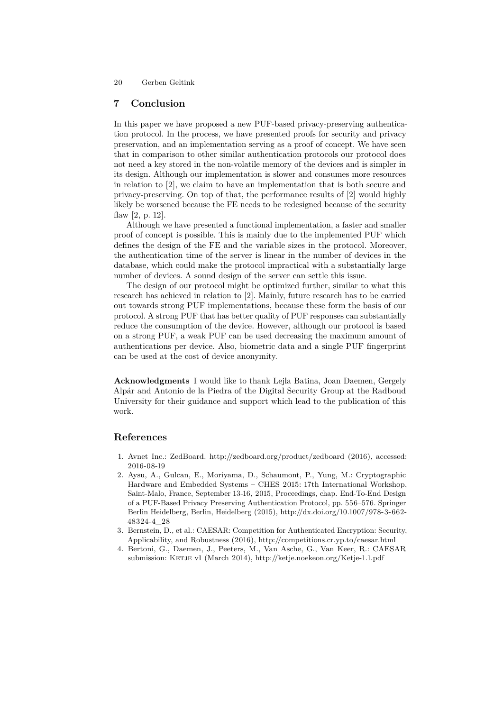# <span id="page-19-1"></span>**7 Conclusion**

In this paper we have proposed a new PUF-based privacy-preserving authentication protocol. In the process, we have presented proofs for security and privacy preservation, and an implementation serving as a proof of concept. We have seen that in comparison to other similar authentication protocols our protocol does not need a key stored in the non-volatile memory of the devices and is simpler in its design. Although our implementation is slower and consumes more resources in relation to [\[2\]](#page-19-0), we claim to have an implementation that is both secure and privacy-preserving. On top of that, the performance results of [\[2\]](#page-19-0) would highly likely be worsened because the FE needs to be redesigned because of the security flaw [\[2,](#page-19-0) p. 12].

Although we have presented a functional implementation, a faster and smaller proof of concept is possible. This is mainly due to the implemented PUF which defines the design of the FE and the variable sizes in the protocol. Moreover, the authentication time of the server is linear in the number of devices in the database, which could make the protocol impractical with a substantially large number of devices. A sound design of the server can settle this issue.

The design of our protocol might be optimized further, similar to what this research has achieved in relation to [\[2\]](#page-19-0). Mainly, future research has to be carried out towards strong PUF implementations, because these form the basis of our protocol. A strong PUF that has better quality of PUF responses can substantially reduce the consumption of the device. However, although our protocol is based on a strong PUF, a weak PUF can be used decreasing the maximum amount of authentications per device. Also, biometric data and a single PUF fingerprint can be used at the cost of device anonymity.

**Acknowledgments** I would like to thank Lejla Batina, Joan Daemen, Gergely Alpár and Antonio de la Piedra of the Digital Security Group at the Radboud University for their guidance and support which lead to the publication of this work.

# **References**

- <span id="page-19-2"></span>1. Avnet Inc.: ZedBoard. <http://zedboard.org/product/zedboard> (2016), accessed: 2016-08-19
- <span id="page-19-0"></span>2. Aysu, A., Gulcan, E., Moriyama, D., Schaumont, P., Yung, M.: Cryptographic Hardware and Embedded Systems – CHES 2015: 17th International Workshop, Saint-Malo, France, September 13-16, 2015, Proceedings, chap. End-To-End Design of a PUF-Based Privacy Preserving Authentication Protocol, pp. 556–576. Springer Berlin Heidelberg, Berlin, Heidelberg (2015), [http://dx.doi.org/10.1007/978-3-662-](http://dx.doi.org/10.1007/978-3-662-48324-4_28) [48324-4\\_28](http://dx.doi.org/10.1007/978-3-662-48324-4_28)
- <span id="page-19-4"></span>3. Bernstein, D., et al.: CAESAR: Competition for Authenticated Encryption: Security, Applicability, and Robustness (2016), <http://competitions.cr.yp.to/caesar.html>
- <span id="page-19-3"></span>4. Bertoni, G., Daemen, J., Peeters, M., Van Asche, G., Van Keer, R.: CAESAR submission: KETJE v1 (March 2014), <http://ketje.noekeon.org/Ketje-1.1.pdf>